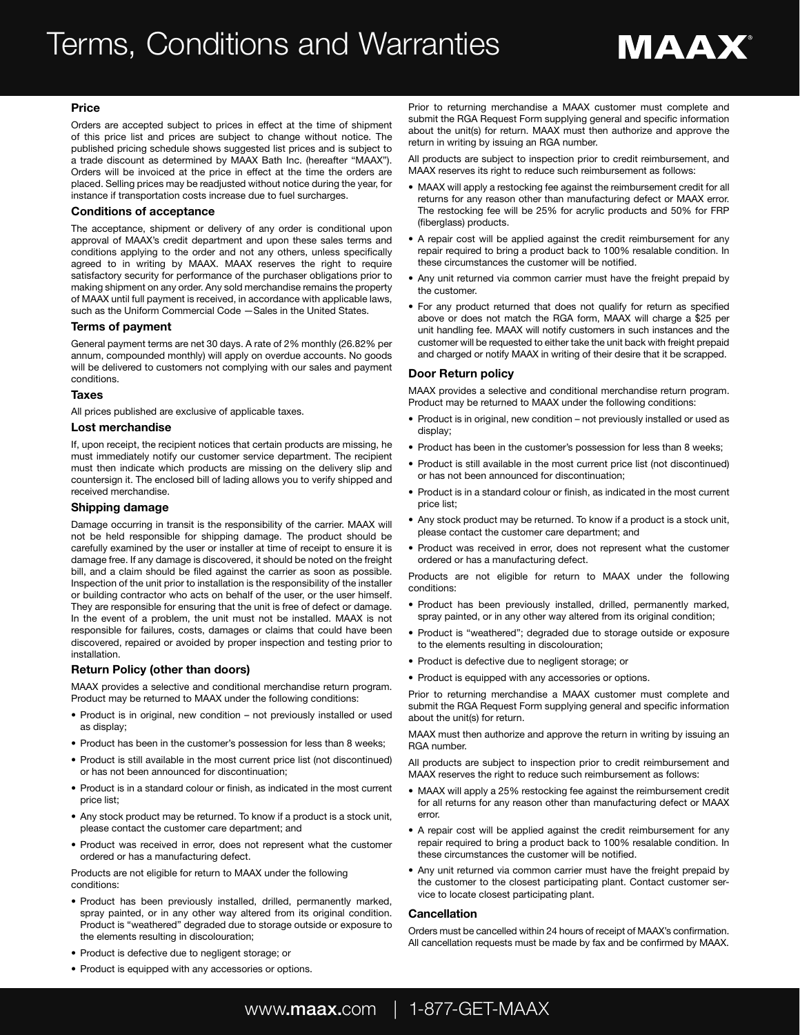

# Price

Orders are accepted subject to prices in effect at the time of shipment of this price list and prices are subject to change without notice. The published pricing schedule shows suggested list prices and is subject to a trade discount as determined by MAAX Bath Inc. (hereafter "MAAX"). Orders will be invoiced at the price in effect at the time the orders are placed. Selling prices may be readjusted without notice during the year, for instance if transportation costs increase due to fuel surcharges.

### Conditions of acceptance

The acceptance, shipment or delivery of any order is conditional upon approval of MAAX's credit department and upon these sales terms and conditions applying to the order and not any others, unless specifically agreed to in writing by MAAX. MAAX reserves the right to require satisfactory security for performance of the purchaser obligations prior to making shipment on any order. Any sold merchandise remains the property of MAAX until full payment is received, in accordance with applicable laws, such as the Uniform Commercial Code —Sales in the United States.

# Terms of payment

General payment terms are net 30 days. A rate of 2% monthly (26.82% per annum, compounded monthly) will apply on overdue accounts. No goods will be delivered to customers not complying with our sales and payment conditions.

# Taxes

All prices published are exclusive of applicable taxes.

# Lost merchandise

If, upon receipt, the recipient notices that certain products are missing, he must immediately notify our customer service department. The recipient must then indicate which products are missing on the delivery slip and countersign it. The enclosed bill of lading allows you to verify shipped and received merchandise.

# Shipping damage

Damage occurring in transit is the responsibility of the carrier. MAAX will not be held responsible for shipping damage. The product should be carefully examined by the user or installer at time of receipt to ensure it is damage free. If any damage is discovered, it should be noted on the freight bill, and a claim should be filed against the carrier as soon as possible. Inspection of the unit prior to installation is the responsibility of the installer or building contractor who acts on behalf of the user, or the user himself. They are responsible for ensuring that the unit is free of defect or damage. In the event of a problem, the unit must not be installed. MAAX is not responsible for failures, costs, damages or claims that could have been discovered, repaired or avoided by proper inspection and testing prior to installation.

# Return Policy (other than doors)

MAAX provides a selective and conditional merchandise return program. Product may be returned to MAAX under the following conditions:

- Product is in original, new condition not previously installed or used as display;
- Product has been in the customer's possession for less than 8 weeks;
- Product is still available in the most current price list (not discontinued) or has not been announced for discontinuation;
- Product is in a standard colour or finish, as indicated in the most current price list;
- Any stock product may be returned. To know if a product is a stock unit, please contact the customer care department; and
- Product was received in error, does not represent what the customer ordered or has a manufacturing defect.

Products are not eligible for return to MAAX under the following conditions:

- Product has been previously installed, drilled, permanently marked, spray painted, or in any other way altered from its original condition. Product is "weathered" degraded due to storage outside or exposure to the elements resulting in discolouration;
- Product is defective due to negligent storage; or
- Product is equipped with any accessories or options.

Prior to returning merchandise a MAAX customer must complete and submit the RGA Request Form supplying general and specific information about the unit(s) for return. MAAX must then authorize and approve the return in writing by issuing an RGA number.

All products are subject to inspection prior to credit reimbursement, and MAAX reserves its right to reduce such reimbursement as follows:

- MAAX will apply a restocking fee against the reimbursement credit for all returns for any reason other than manufacturing defect or MAAX error. The restocking fee will be 25% for acrylic products and 50% for FRP (fiberglass) products.
- A repair cost will be applied against the credit reimbursement for any repair required to bring a product back to 100% resalable condition. In these circumstances the customer will be notified.
- Any unit returned via common carrier must have the freight prepaid by the customer.
- For any product returned that does not qualify for return as specified above or does not match the RGA form, MAAX will charge a \$25 per unit handling fee. MAAX will notify customers in such instances and the customer will be requested to either take the unit back with freight prepaid and charged or notify MAAX in writing of their desire that it be scrapped.

# Door Return policy

MAAX provides a selective and conditional merchandise return program. Product may be returned to MAAX under the following conditions:

- Product is in original, new condition not previously installed or used as display;
- Product has been in the customer's possession for less than 8 weeks;
- Product is still available in the most current price list (not discontinued) or has not been announced for discontinuation;
- Product is in a standard colour or finish, as indicated in the most current price list;
- Any stock product may be returned. To know if a product is a stock unit, please contact the customer care department; and
- Product was received in error, does not represent what the customer ordered or has a manufacturing defect.

Products are not eligible for return to MAAX under the following conditions:

- Product has been previously installed, drilled, permanently marked, spray painted, or in any other way altered from its original condition;
- Product is "weathered"; degraded due to storage outside or exposure to the elements resulting in discolouration;
- Product is defective due to negligent storage; or
- Product is equipped with any accessories or options.

Prior to returning merchandise a MAAX customer must complete and submit the RGA Request Form supplying general and specific information about the unit(s) for return.

MAAX must then authorize and approve the return in writing by issuing an RGA number.

All products are subject to inspection prior to credit reimbursement and MAAX reserves the right to reduce such reimbursement as follows:

- MAAX will apply a 25% restocking fee against the reimbursement credit for all returns for any reason other than manufacturing defect or MAAX error.
- A repair cost will be applied against the credit reimbursement for any repair required to bring a product back to 100% resalable condition. In these circumstances the customer will be notified.
- Any unit returned via common carrier must have the freight prepaid by the customer to the closest participating plant. Contact customer service to locate closest participating plant.

### **Cancellation**

Orders must be cancelled within 24 hours of receipt of MAAX's confirmation. All cancellation requests must be made by fax and be confirmed by MAAX.

# www.maax.com | 1-877-GET-MAAX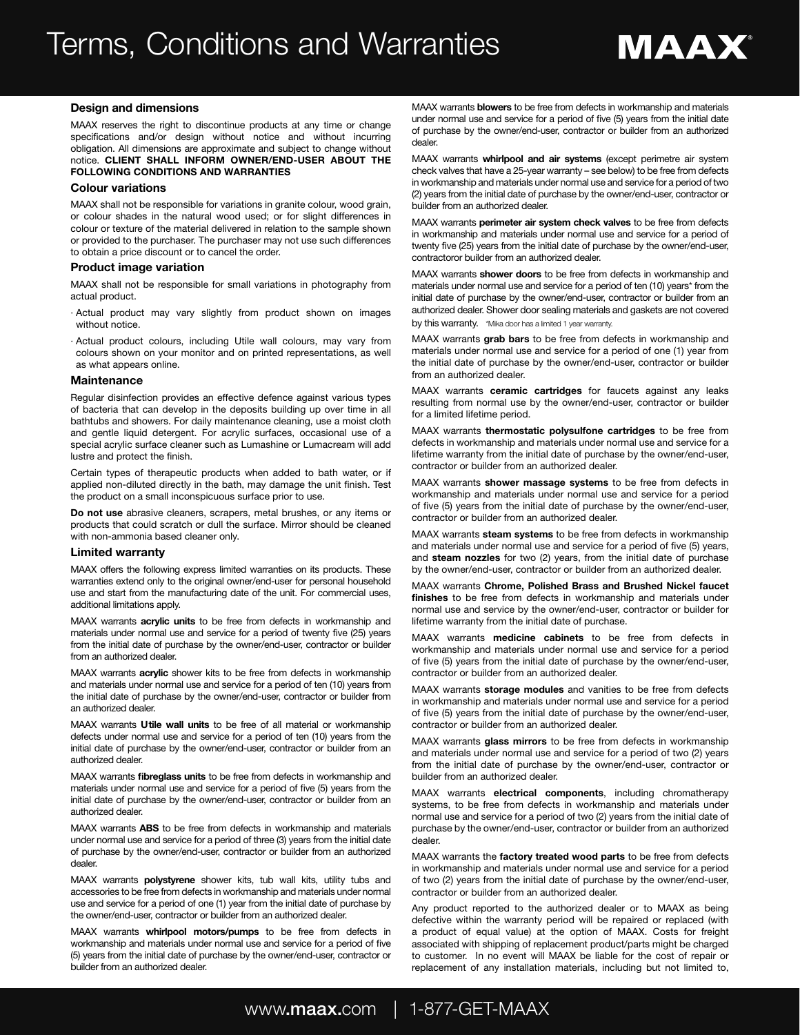# Design and dimensions

MAAX reserves the right to discontinue products at any time or change specifications and/or design without notice and without incurring obligation. All dimensions are approximate and subject to change without notice. CLIENT SHALL INFORM OWNER/END-USER ABOUT THE FOLLOWING CONDITIONS AND WARRANTIES

### Colour variations

MAAX shall not be responsible for variations in granite colour, wood grain, or colour shades in the natural wood used; or for slight differences in colour or texture of the material delivered in relation to the sample shown or provided to the purchaser. The purchaser may not use such differences to obtain a price discount or to cancel the order.

### Product image variation

MAAX shall not be responsible for small variations in photography from actual product.

· Actual product may vary slightly from product shown on images without notice.

· Actual product colours, including Utile wall colours, may vary from colours shown on your monitor and on printed representations, as well as what appears online.

### Maintenance

Regular disinfection provides an effective defence against various types of bacteria that can develop in the deposits building up over time in all bathtubs and showers. For daily maintenance cleaning, use a moist cloth and gentle liquid detergent. For acrylic surfaces, occasional use of a special acrylic surface cleaner such as Lumashine or Lumacream will add lustre and protect the finish.

Certain types of therapeutic products when added to bath water, or if applied non-diluted directly in the bath, may damage the unit finish. Test the product on a small inconspicuous surface prior to use.

Do not use abrasive cleaners, scrapers, metal brushes, or any items or products that could scratch or dull the surface. Mirror should be cleaned with non-ammonia based cleaner only.

#### Limited warranty

MAAX offers the following express limited warranties on its products. These warranties extend only to the original owner/end-user for personal household use and start from the manufacturing date of the unit. For commercial uses, additional limitations apply.

MAAX warrants acrylic units to be free from defects in workmanship and materials under normal use and service for a period of twenty five (25) years from the initial date of purchase by the owner/end-user, contractor or builder from an authorized dealer.

MAAX warrants **acrylic** shower kits to be free from defects in workmanship and materials under normal use and service for a period of ten (10) years from the initial date of purchase by the owner/end-user, contractor or builder from an authorized dealer.

MAAX warrants Utile wall units to be free of all material or workmanship defects under normal use and service for a period of ten (10) years from the initial date of purchase by the owner/end-user, contractor or builder from an authorized dealer.

MAAX warrants fibreglass units to be free from defects in workmanship and materials under normal use and service for a period of five (5) years from the initial date of purchase by the owner/end-user, contractor or builder from an authorized dealer.

MAAX warrants ABS to be free from defects in workmanship and materials under normal use and service for a period of three (3) years from the initial date of purchase by the owner/end-user, contractor or builder from an authorized dealer.

MAAX warrants **polystyrene** shower kits, tub wall kits, utility tubs and accessories to be free from defects in workmanship and materials under normal use and service for a period of one (1) year from the initial date of purchase by the owner/end-user, contractor or builder from an authorized dealer.

MAAX warrants whirlpool motors/pumps to be free from defects in workmanship and materials under normal use and service for a period of five (5) years from the initial date of purchase by the owner/end-user, contractor or builder from an authorized dealer.

MAAX warrants blowers to be free from defects in workmanship and materials under normal use and service for a period of five (5) years from the initial date of purchase by the owner/end-user, contractor or builder from an authorized dealer.

MAAX warrants whirlpool and air systems (except perimetre air system check valves that have a 25-year warranty – see below) to be free from defects in workmanship and materials under normal use and service for a period of two (2) years from the initial date of purchase by the owner/end-user, contractor or builder from an authorized dealer.

MAAX warrants perimeter air system check valves to be free from defects in workmanship and materials under normal use and service for a period of twenty five (25) years from the initial date of purchase by the owner/end-user, contractoror builder from an authorized dealer.

MAAX warrants shower doors to be free from defects in workmanship and materials under normal use and service for a period of ten (10) years\* from the initial date of purchase by the owner/end-user, contractor or builder from an authorized dealer. Shower door sealing materials and gaskets are not covered by this warranty. \*Mika door has a limited 1 year warranty.

MAAX warrants grab bars to be free from defects in workmanship and materials under normal use and service for a period of one (1) year from the initial date of purchase by the owner/end-user, contractor or builder from an authorized dealer.

MAAX warrants ceramic cartridges for faucets against any leaks resulting from normal use by the owner/end-user, contractor or builder for a limited lifetime period.

MAAX warrants thermostatic polysulfone cartridges to be free from defects in workmanship and materials under normal use and service for a lifetime warranty from the initial date of purchase by the owner/end-user, contractor or builder from an authorized dealer.

MAAX warrants shower massage systems to be free from defects in workmanship and materials under normal use and service for a period of five (5) years from the initial date of purchase by the owner/end-user, contractor or builder from an authorized dealer.

MAAX warrants steam systems to be free from defects in workmanship and materials under normal use and service for a period of five (5) years, and steam nozzles for two (2) years, from the initial date of purchase by the owner/end-user, contractor or builder from an authorized dealer.

MAAX warrants Chrome, Polished Brass and Brushed Nickel faucet finishes to be free from defects in workmanship and materials under normal use and service by the owner/end-user, contractor or builder for lifetime warranty from the initial date of purchase.

MAAX warrants medicine cabinets to be free from defects in workmanship and materials under normal use and service for a period of five (5) years from the initial date of purchase by the owner/end-user, contractor or builder from an authorized dealer.

MAAX warrants storage modules and vanities to be free from defects in workmanship and materials under normal use and service for a period of five (5) years from the initial date of purchase by the owner/end-user, contractor or builder from an authorized dealer.

MAAX warrants glass mirrors to be free from defects in workmanship and materials under normal use and service for a period of two (2) years from the initial date of purchase by the owner/end-user, contractor or builder from an authorized dealer.

MAAX warrants electrical components, including chromatherapy systems, to be free from defects in workmanship and materials under normal use and service for a period of two (2) years from the initial date of purchase by the owner/end-user, contractor or builder from an authorized dealer.

MAAX warrants the factory treated wood parts to be free from defects in workmanship and materials under normal use and service for a period of two (2) years from the initial date of purchase by the owner/end-user, contractor or builder from an authorized dealer.

Any product reported to the authorized dealer or to MAAX as being defective within the warranty period will be repaired or replaced (with a product of equal value) at the option of MAAX. Costs for freight associated with shipping of replacement product/parts might be charged to customer. In no event will MAAX be liable for the cost of repair or replacement of any installation materials, including but not limited to,